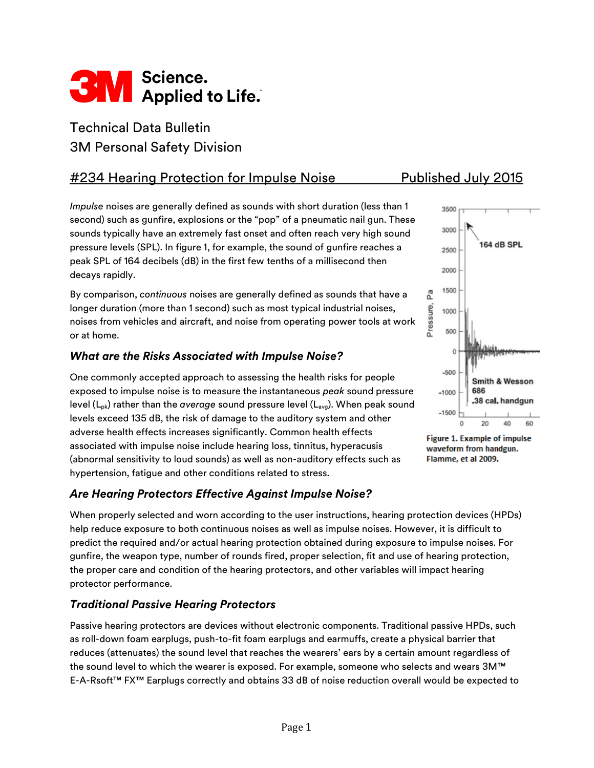

# Technical Data Bulletin 3M Personal Safety Division

# #234 Hearing Protection for Impulse Noise Published July 2015

*Impulse* noises are generally defined as sounds with short duration (less than 1 second) such as gunfire, explosions or the "pop" of a pneumatic nail gun. These sounds typically have an extremely fast onset and often reach very high sound pressure levels (SPL). In figure 1, for example, the sound of gunfire reaches a peak SPL of 164 decibels (dB) in the first few tenths of a millisecond then decays rapidly.

By comparison, *continuous* noises are generally defined as sounds that have a longer duration (more than 1 second) such as most typical industrial noises, noises from vehicles and aircraft, and noise from operating power tools at work or at home.

## *What are the Risks Associated with Impulse Noise?*

One commonly accepted approach to assessing the health risks for people exposed to impulse noise is to measure the instantaneous *peak* sound pressure level (L<sub>pk</sub>) rather than the *average* sound pressure level (L<sub>avg</sub>). When peak sound levels exceed 135 dB, the risk of damage to the auditory system and other adverse health effects increases significantly. Common health effects associated with impulse noise include hearing loss, tinnitus, hyperacusis (abnormal sensitivity to loud sounds) as well as non-auditory effects such as hypertension, fatigue and other conditions related to stress.

# *Are Hearing Protectors Effective Against Impulse Noise?*

When properly selected and worn according to the user instructions, hearing protection devices (HPDs) help reduce exposure to both continuous noises as well as impulse noises. However, it is difficult to predict the required and/or actual hearing protection obtained during exposure to impulse noises. For gunfire, the weapon type, number of rounds fired, proper selection, fit and use of hearing protection, the proper care and condition of the hearing protectors, and other variables will impact hearing protector performance.

#### *Traditional Passive Hearing Protectors*

Passive hearing protectors are devices without electronic components. Traditional passive HPDs, such as roll-down foam earplugs, push-to-fit foam earplugs and earmuffs, create a physical barrier that reduces (attenuates) the sound level that reaches the wearers' ears by a certain amount regardless of the sound level to which the wearer is exposed. For example, someone who selects and wears 3M™ E-A-Rsoft™ FX™ Earplugs correctly and obtains 33 dB of noise reduction overall would be expected to



Figure 1. Example of impulse waveform from handgun. Flamme, et al 2009.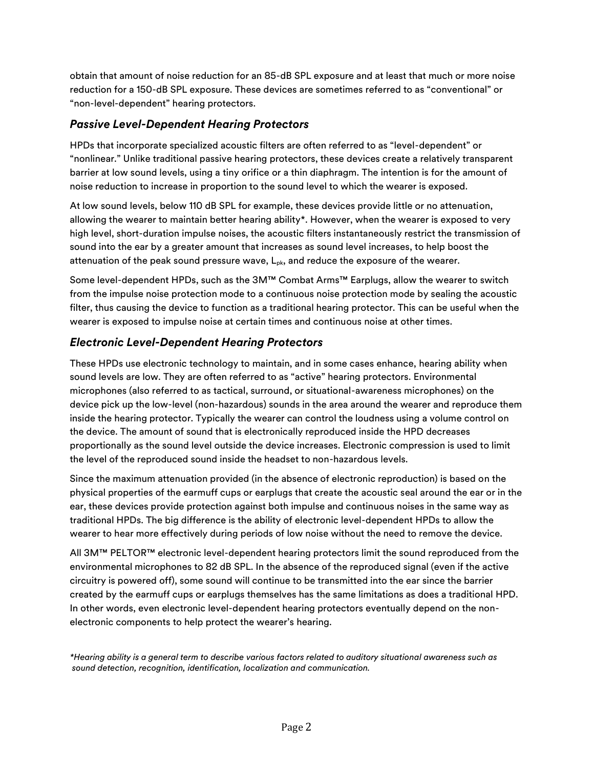obtain that amount of noise reduction for an 85-dB SPL exposure and at least that much or more noise reduction for a 150-dB SPL exposure. These devices are sometimes referred to as "conventional" or "non-level-dependent" hearing protectors.

## *Passive Level-Dependent Hearing Protectors*

HPDs that incorporate specialized acoustic filters are often referred to as "level-dependent" or "nonlinear." Unlike traditional passive hearing protectors, these devices create a relatively transparent barrier at low sound levels, using a tiny orifice or a thin diaphragm. The intention is for the amount of noise reduction to increase in proportion to the sound level to which the wearer is exposed.

At low sound levels, below 110 dB SPL for example, these devices provide little or no attenuation, allowing the wearer to maintain better hearing ability\*. However, when the wearer is exposed to very high level, short-duration impulse noises, the acoustic filters instantaneously restrict the transmission of sound into the ear by a greater amount that increases as sound level increases, to help boost the attenuation of the peak sound pressure wave,  $L_{pk}$ , and reduce the exposure of the wearer.

Some level-dependent HPDs, such as the 3M™ Combat Arms™ Earplugs, allow the wearer to switch from the impulse noise protection mode to a continuous noise protection mode by sealing the acoustic filter, thus causing the device to function as a traditional hearing protector. This can be useful when the wearer is exposed to impulse noise at certain times and continuous noise at other times.

# *Electronic Level-Dependent Hearing Protectors*

These HPDs use electronic technology to maintain, and in some cases enhance, hearing ability when sound levels are low. They are often referred to as "active" hearing protectors. Environmental microphones (also referred to as tactical, surround, or situational-awareness microphones) on the device pick up the low-level (non-hazardous) sounds in the area around the wearer and reproduce them inside the hearing protector. Typically the wearer can control the loudness using a volume control on the device. The amount of sound that is electronically reproduced inside the HPD decreases proportionally as the sound level outside the device increases. Electronic compression is used to limit the level of the reproduced sound inside the headset to non-hazardous levels.

Since the maximum attenuation provided (in the absence of electronic reproduction) is based on the physical properties of the earmuff cups or earplugs that create the acoustic seal around the ear or in the ear, these devices provide protection against both impulse and continuous noises in the same way as traditional HPDs. The big difference is the ability of electronic level-dependent HPDs to allow the wearer to hear more effectively during periods of low noise without the need to remove the device.

All 3M™ PELTOR™ electronic level-dependent hearing protectors limit the sound reproduced from the environmental microphones to 82 dB SPL. In the absence of the reproduced signal (even if the active circuitry is powered off), some sound will continue to be transmitted into the ear since the barrier created by the earmuff cups or earplugs themselves has the same limitations as does a traditional HPD. In other words, even electronic level-dependent hearing protectors eventually depend on the nonelectronic components to help protect the wearer's hearing.

*\*Hearing ability is a general term to describe various factors related to auditory situational awareness such as sound detection, recognition, identification, localization and communication.*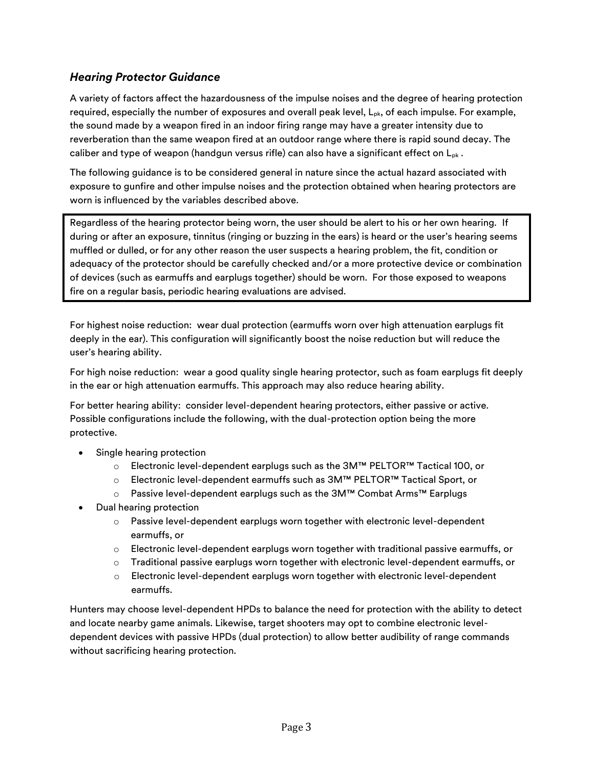# *Hearing Protector Guidance*

A variety of factors affect the hazardousness of the impulse noises and the degree of hearing protection required, especially the number of exposures and overall peak level,  $L_{pk}$ , of each impulse. For example, the sound made by a weapon fired in an indoor firing range may have a greater intensity due to reverberation than the same weapon fired at an outdoor range where there is rapid sound decay. The caliber and type of weapon (handgun versus rifle) can also have a significant effect on  $L_{pk}$ .

The following guidance is to be considered general in nature since the actual hazard associated with exposure to gunfire and other impulse noises and the protection obtained when hearing protectors are worn is influenced by the variables described above.

Regardless of the hearing protector being worn, the user should be alert to his or her own hearing. If during or after an exposure, tinnitus (ringing or buzzing in the ears) is heard or the user's hearing seems muffled or dulled, or for any other reason the user suspects a hearing problem, the fit, condition or adequacy of the protector should be carefully checked and/or a more protective device or combination of devices (such as earmuffs and earplugs together) should be worn. For those exposed to weapons fire on a regular basis, periodic hearing evaluations are advised.

For highest noise reduction: wear dual protection (earmuffs worn over high attenuation earplugs fit deeply in the ear). This configuration will significantly boost the noise reduction but will reduce the user's hearing ability.

For high noise reduction: wear a good quality single hearing protector, such as foam earplugs fit deeply in the ear or high attenuation earmuffs. This approach may also reduce hearing ability.

For better hearing ability: consider level-dependent hearing protectors, either passive or active. Possible configurations include the following, with the dual-protection option being the more protective.

- Single hearing protection
	- o Electronic level-dependent earplugs such as the 3M™ PELTOR™ Tactical 100, or
	- o Electronic level-dependent earmuffs such as 3M™ PELTOR™ Tactical Sport, or
	- o Passive level-dependent earplugs such as the 3M™ Combat Arms™ Earplugs
- Dual hearing protection
	- o Passive level-dependent earplugs worn together with electronic level-dependent earmuffs, or
	- $\circ$  Electronic level-dependent earplugs worn together with traditional passive earmuffs, or
	- $\circ$  Traditional passive earplugs worn together with electronic level-dependent earmuffs, or
	- o Electronic level-dependent earplugs worn together with electronic level-dependent earmuffs.

Hunters may choose level-dependent HPDs to balance the need for protection with the ability to detect and locate nearby game animals. Likewise, target shooters may opt to combine electronic leveldependent devices with passive HPDs (dual protection) to allow better audibility of range commands without sacrificing hearing protection.